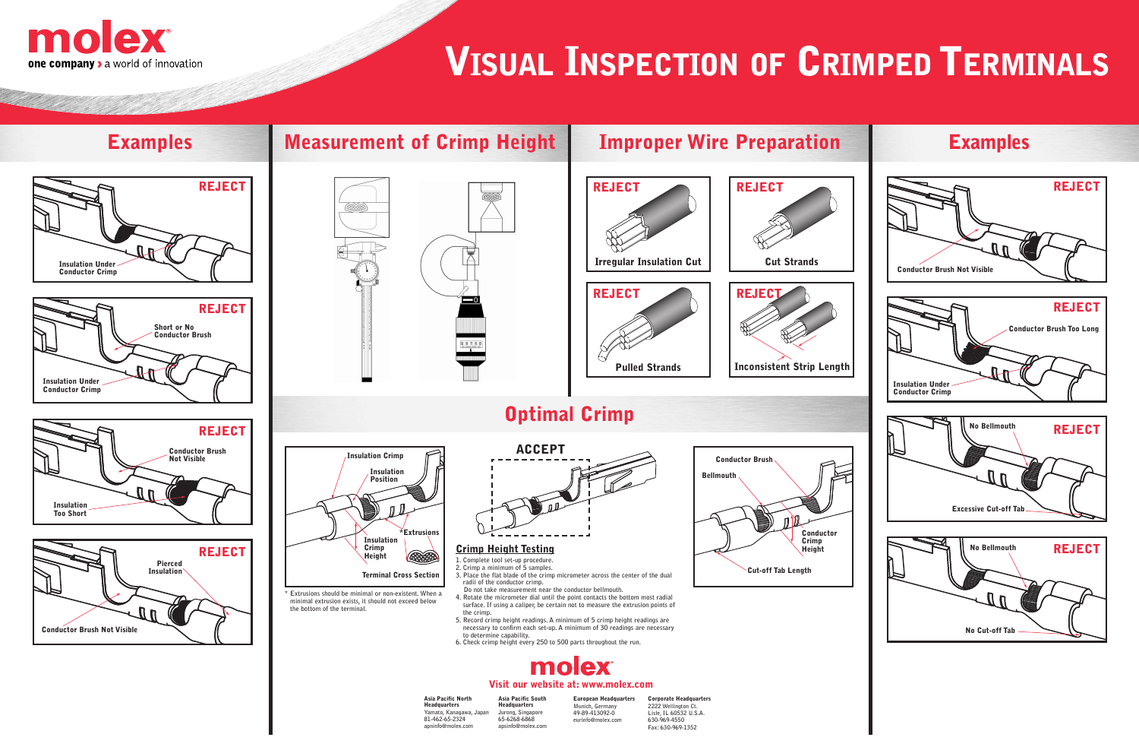# **VISUAL INSPECTION OF CRIMPED TERMINALS**

# $\overline{\phantom{0}}$



- **1. Complete tool set-up procedure.**
- **2. Crimp a minimum of 5 samples.**
- **3. Place the flat blade of the crimp micrometer across the center of the dual radii of the conductor crimp.**
- **Do not take measurement near the conductor bellmouth.**
- **4. Rotate the micrometer dial until the point contacts the bottom most radial surface. If using a caliper, be certain not to measure the extrusion points of the crimp.**
- **5. Record crimp height readings. A minimum of 5 crimp height readings are necessary to confirm each set-up. A minimum of 30 readings are necessary to determine capability.**
- **6. Check crimp height every 250 to 500 parts throughout the run.**











**<sup>\*</sup> Extrusions should be minimal or non-existent. When a minimal extrusion exists, it should not exceed below the bottom of the terminal.**

**Asia Pacific North Headquarters Yamato, Kanagawa, Japan 81-462-65-2324 apninfo@molex.com**

**Asia Pacific South Headquarters Jurong, Singapore 65-6268-6868 apsinfo@molex.com**

**European Headquarters Munich, Germany 49-89-413092-0 eurinfo@molex.com**

**Corporate Headquarters 2222 Wellington Ct. Lisle, IL 60532 U.S.A. 630-969-4550 Fax: 630-969-1352**



#### **Visit our website at: www.molex.com**



### **Crimp Height Testing**

# **Optimal Crimp**